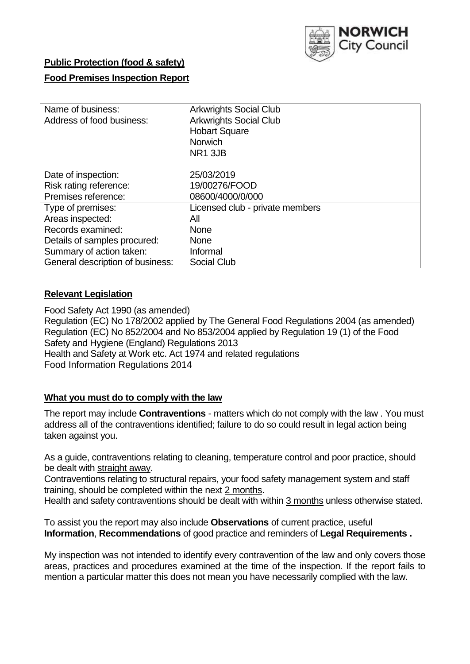

# **Public Protection (food & safety)**

### **Food Premises Inspection Report**

| Name of business:                | <b>Arkwrights Social Club</b>   |
|----------------------------------|---------------------------------|
| Address of food business:        | <b>Arkwrights Social Club</b>   |
|                                  | <b>Hobart Square</b>            |
|                                  | <b>Norwich</b>                  |
|                                  | NR1 3JB                         |
| Date of inspection:              | 25/03/2019                      |
| Risk rating reference:           | 19/00276/FOOD                   |
| Premises reference:              | 08600/4000/0/000                |
| Type of premises:                | Licensed club - private members |
| Areas inspected:                 | All                             |
| Records examined:                | <b>None</b>                     |
| Details of samples procured:     | <b>None</b>                     |
| Summary of action taken:         | Informal                        |
| General description of business: | <b>Social Club</b>              |

### **Relevant Legislation**

Food Safety Act 1990 (as amended) Regulation (EC) No 178/2002 applied by The General Food Regulations 2004 (as amended) Regulation (EC) No 852/2004 and No 853/2004 applied by Regulation 19 (1) of the Food Safety and Hygiene (England) Regulations 2013 Health and Safety at Work etc. Act 1974 and related regulations Food Information Regulations 2014

### **What you must do to comply with the law**

The report may include **Contraventions** - matters which do not comply with the law . You must address all of the contraventions identified; failure to do so could result in legal action being taken against you.

As a guide, contraventions relating to cleaning, temperature control and poor practice, should be dealt with straight away.

Contraventions relating to structural repairs, your food safety management system and staff training, should be completed within the next 2 months.

Health and safety contraventions should be dealt with within 3 months unless otherwise stated.

To assist you the report may also include **Observations** of current practice, useful **Information**, **Recommendations** of good practice and reminders of **Legal Requirements .**

My inspection was not intended to identify every contravention of the law and only covers those areas, practices and procedures examined at the time of the inspection. If the report fails to mention a particular matter this does not mean you have necessarily complied with the law.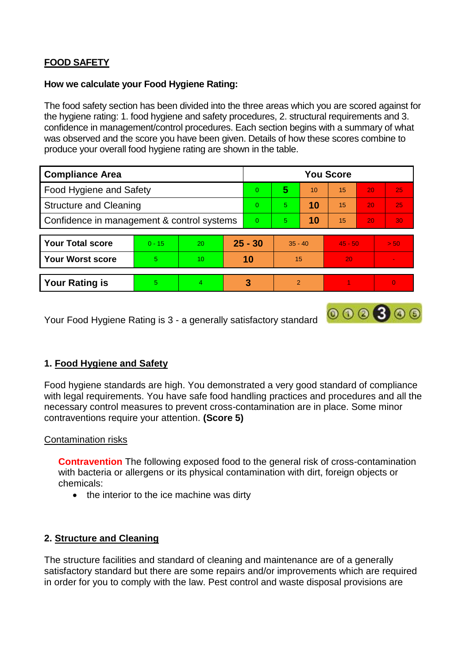## **FOOD SAFETY**

#### **How we calculate your Food Hygiene Rating:**

The food safety section has been divided into the three areas which you are scored against for the hygiene rating: 1. food hygiene and safety procedures, 2. structural requirements and 3. confidence in management/control procedures. Each section begins with a summary of what was observed and the score you have been given. Details of how these scores combine to produce your overall food hygiene rating are shown in the table.

| <b>Compliance Area</b>                     |          |    |           | <b>You Score</b> |                |    |           |    |                          |  |  |
|--------------------------------------------|----------|----|-----------|------------------|----------------|----|-----------|----|--------------------------|--|--|
| Food Hygiene and Safety                    |          |    |           | $\Omega$         | 5              | 10 | 15        | 20 | 25                       |  |  |
| <b>Structure and Cleaning</b>              |          |    | $\Omega$  | 5                | 10             | 15 | 20        | 25 |                          |  |  |
| Confidence in management & control systems |          |    | $\Omega$  | 5                | 10             | 15 | 20        | 30 |                          |  |  |
|                                            |          |    |           |                  |                |    |           |    |                          |  |  |
| <b>Your Total score</b>                    | $0 - 15$ | 20 | $25 - 30$ |                  | $35 - 40$      |    | $45 - 50$ |    | > 50                     |  |  |
| <b>Your Worst score</b>                    | 5        | 10 | 10        |                  | 15             |    | 20        |    | $\overline{\phantom{a}}$ |  |  |
|                                            |          |    |           |                  |                |    |           |    |                          |  |  |
| <b>Your Rating is</b>                      | 5        | 4  |           | 3                | $\overline{2}$ |    |           |    |                          |  |  |

Your Food Hygiene Rating is 3 - a generally satisfactory standard

## **1. Food Hygiene and Safety**

Food hygiene standards are high. You demonstrated a very good standard of compliance with legal requirements. You have safe food handling practices and procedures and all the necessary control measures to prevent cross-contamination are in place. Some minor contraventions require your attention. **(Score 5)**

 $000000$ 

### Contamination risks

**Contravention** The following exposed food to the general risk of cross-contamination with bacteria or allergens or its physical contamination with dirt, foreign objects or chemicals:

• the interior to the ice machine was dirty

## **2. Structure and Cleaning**

The structure facilities and standard of cleaning and maintenance are of a generally satisfactory standard but there are some repairs and/or improvements which are required in order for you to comply with the law. Pest control and waste disposal provisions are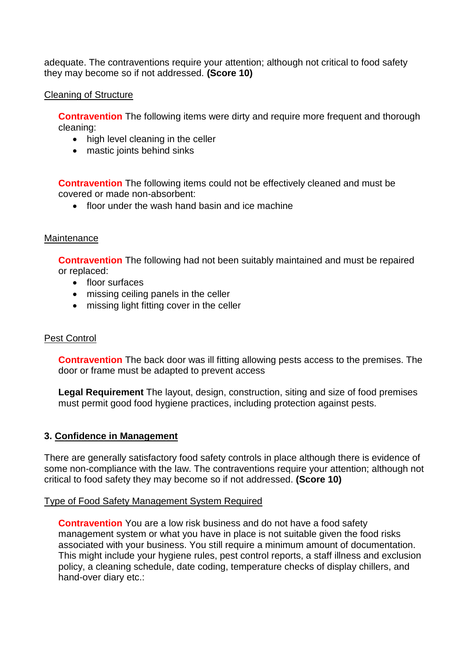adequate. The contraventions require your attention; although not critical to food safety they may become so if not addressed. **(Score 10)**

### Cleaning of Structure

**Contravention** The following items were dirty and require more frequent and thorough cleaning:

- high level cleaning in the celler
- mastic joints behind sinks

**Contravention** The following items could not be effectively cleaned and must be covered or made non-absorbent:

• floor under the wash hand basin and ice machine

#### **Maintenance**

**Contravention** The following had not been suitably maintained and must be repaired or replaced:

- floor surfaces
- missing ceiling panels in the celler
- missing light fitting cover in the celler

### Pest Control

**Contravention** The back door was ill fitting allowing pests access to the premises. The door or frame must be adapted to prevent access

**Legal Requirement** The layout, design, construction, siting and size of food premises must permit good food hygiene practices, including protection against pests.

#### **3. Confidence in Management**

There are generally satisfactory food safety controls in place although there is evidence of some non-compliance with the law. The contraventions require your attention; although not critical to food safety they may become so if not addressed. **(Score 10)**

### Type of Food Safety Management System Required

**Contravention** You are a low risk business and do not have a food safety management system or what you have in place is not suitable given the food risks associated with your business. You still require a minimum amount of documentation. This might include your hygiene rules, pest control reports, a staff illness and exclusion policy, a cleaning schedule, date coding, temperature checks of display chillers, and hand-over diary etc.: